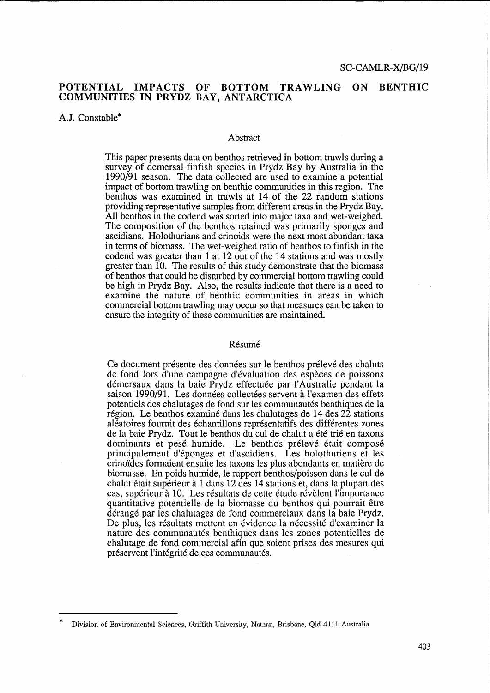## POTENTIAL IMPACTS OF BOTTOM TRAWLING ON BENTHIC COMMUNITIES IN PRYDZ BAY, ANTARCTICA

## A.J. Constable\*

#### Abstract

This paper presents data on benthos retrieved in bottom trawls during a survey of demersal finfish species in Prydz Bay by Australia in the 1990/91 season. The data collected are used to examine a potential impact of bottom trawling on benthic communities in this region. The benthos was examined in trawls at 14 of the 22 random stations providing representative samples from different areas in the Prydz Bay. All benthos in the codend was sorted into major taxa and wet-weighed. The composition of the benthos retained was primarily sponges and ascidians. Holothurians and crinoids were the next most abundant taxa in terms of biomass. The wet-weighed ratio of benthos to finfish in the codend was greater than 1 at 12 out of the 14 stations and was mostly greater than 10. The results of this study demonstrate that the biomass of benthos that could be disturbed by commercial bottom trawling could be high in Prydz Bay. Also, the results indicate that there is a need to examine the nature of benthic communities in areas in which commercial bottom trawling may occur so that measures can be taken to ensure the integrity of these communities are maintained.

#### Resume

Ce document présente des données sur le benthos prélevé des chaluts de fond lors d'une campagne d'evaluation des especes de poissons démersaux dans la baie Prydz effectuée par l'Australie pendant la saison 1990/91. Les données collectées servent à l'examen des effets potentiels des chalutages de fond sur les communautés benthiques de la région. Le benthos examiné dans les chalutages de 14 des 22 stations aleatoires fournit des echantillons representatifs des differentes zones de la baie Prydz. Tout le benthos du cul de chalut a été trié en taxons dominants et pesé humide. Le benthos prélevé était composé principalement d'eponges et d'ascidiens. Les holothuriens et les crino'ides formaient ensuite les taxons les plus abondants en matiere de biomasse. En poids humide, le rapport benthos/poisson dans le cuI de chalut etait superieur a 1 dans 12 des 14 stations et, dans la plupart des cas, supérieur à 10. Les résultats de cette étude révèlent l'importance quantitative potentielle de la biomasse du benthos qui pourrait etre derange par les chalutages de fond commerciaux dans la baie Prydz. De plus, les résultats mettent en évidence la nécessité d'examiner la nature des communautés benthiques dans les zones potentielles de chalutage de fond commercial afin que soient prises des mesures qui préservent l'intégrité de ces communautés.

Division of Environmental Sciences, Griffith University, Nathan, Brisbane, Qld 4111 Australia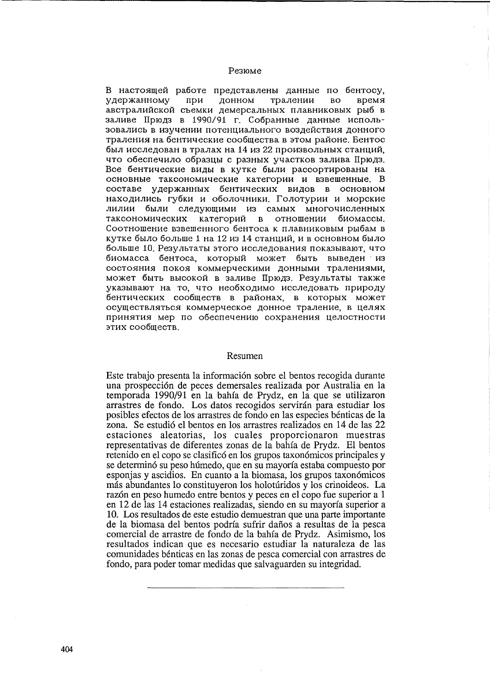### Резюме

В настоящей работе представлены данные по бентосу, удержанному тралении время при донном  $RO$ австралийской съемки демерсальных плавниковых рыб в заливе Прюдз в 1990/91 г. Собранные данные использовались в изучении потенциального воздействия донного траления на бентические сообщества в этом районе. Бентос был исследован в тралах на 14 из 22 произвольных станций, что обеспечило образцы с разных участков залива Прюдз. Все бентические виды в кутке были рассортированы на основные таксономические категории и взвешенные. В составе удержанных бентических видов в основном находились губки и оболочники. Голотурии и морские лилии были следующими из самых многочисленных таксономических категорий в отношении биомассы. Соотношение взвешенного бентоса к плавниковым рыбам в кутке было больше 1 на 12 из 14 станций, и в основном было больше 10. Результаты этого исследования показывают, что биомасса бентоса, который может быть выведен из состояния покоя коммерческими донными тралениями. может быть высокой в заливе Прюдз. Результаты также указывают на то, что необходимо исследовать природу бентических сообществ в районах, в которых может осуществляться коммерческое донное траление, в целях принятия мер по обеспечению сохранения целостности этих сообществ.

#### Resumen

Este trabajo presenta la información sobre el bentos recogida durante una prospección de peces demersales realizada por Australia en la temporada 1990/91 en la bahía de Prydz, en la que se utilizaron arrastres de fondo. Los datos recogidos servirán para estudiar los posibles efectos de los arrastres de fondo en las especies bénticas de la zona. Se estudió el bentos en los arrastres realizados en 14 de las 22 estaciones aleatorias, los cuales proporcionaron muestras representativas de diferentes zonas de la bahía de Prydz. El bentos retenido en el copo se clasificó en los grupos taxonómicos principales y se determinó su peso húmedo, que en su mayoría estaba compuesto por esponjas y ascidios. En cuanto a la biomasa, los grupos taxonómicos más abundantes lo constituyeron los holotúridos y los crinoideos. La razón en peso humedo entre bentos y peces en el copo fue superior a 1 en 12 de las 14 estaciones realizadas, siendo en su mayoría superior a 10. Los resultados de este estudio demuestran que una parte importante de la biomasa del bentos podría sufrir daños a resultas de la pesca comercial de arrastre de fondo de la bahía de Prydz. Asimismo, los resultados indican que es necesario estudiar la naturaleza de las comunidades bénticas en las zonas de pesca comercial con arrastres de fondo, para poder tomar medidas que salvaguarden su integridad.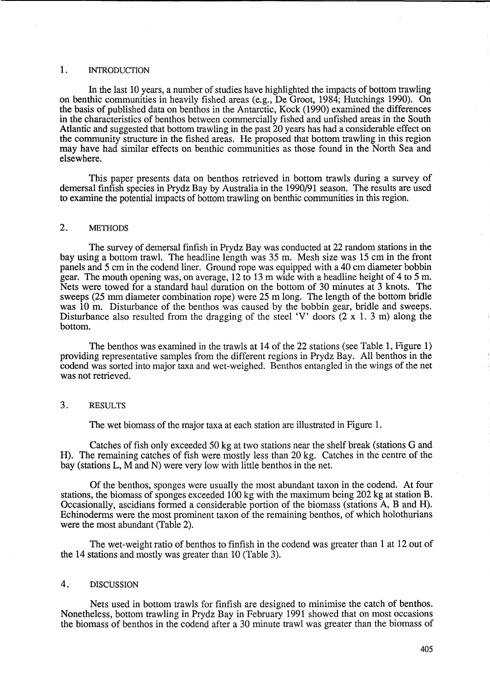### 1. INTRODUCTION

In the last 10 years, a number of studies have highlighted the impacts of bottom trawling on benthic communities in heavily fished areas (e.g., De Groot, 1984; Hutchings 1990). On the basis of published data on benthos in the Antarctic, Kock (1990) examined the differences in the characteristics of benthos between commercially fished and unfished areas in the South Atlantic and suggested that bottom trawling in the past 20 years has had a considerable effect on the community structure in the fished areas. He proposed that bottom trawling in this region may have had similar effects on benthic communities as those found in the North Sea and elsewhere.

This paper presents data on benthos retrieved in bottom trawls during a survey of demersal finfish species in Prydz Bay by Australia in the 1990/91 season. The results are used to examine the potential impacts of bottom trawling on benthic communities in this region.

### 2. METHODS

The survey of demersal finfish in Prydz Bay was conducted at 22 random stations in the bay using a bottom trawl. The headline length was 35 m. Mesh size was 15 cm in the front panels and 5 cm in the codend liner. Ground rope was equipped with a 40 cm diameter bobbin gear. The mouth opening was, on average, 12 to 13 m wide with a headline height of 4 to 5 m. Nets were towed for a standard haul duration on the bottom of 30 minutes at 3 knots. The sweeps (25 mm diameter combination rope) were 25 m long. The length of the bottom bridle was 10 m. Disturbance of the benthos was caused by the bobbin gear, bridle and sweeps. Disturbance also resulted from the dragging of the steel 'V' doors  $(2 \times 1, 3 \text{ m})$  along the bottom.

The benthos was examined in the trawls at 14 of the 22 stations (see Table 1, Figure 1) providing representative samples from the different regions in Prydz Bay. All benthos in the codend was sorted into major taxa and wet-weighed. Benthos entangled in the wings of the net was not retrieved.

## 3. RESULTS

The wet biomass of the major taxa at each station are illustrated in Figure 1.

Catches of fish only exceeded 50 kg at two stations near the shelf break (stations G and H). The remaining catches of fish were mostly less than 20 kg. Catches in the centre of the bay (stations L, M and N) were very low with little benthos in the net.

Of the benthos, sponges were usually the most abundant taxon in the codend. At four stations, the biomass of sponges exceeded 100 kg with the maximum being 202 kg at station B. Occasionally, ascidians formed a considerable portion of the biomass (stations A, B and H). Echinoderms were the most prominent taxon of the remaining benthos, of which holothurians were the most abundant (Table 2).

The wet-weight ratio of benthos to finfish in the codend was greater than 1 at 12 out of the 14 stations and mostly was greater than 10 (Table 3).

## 4. DISCUSSION

Nets used in bottom trawls for finfish are designed to minimise the catch of benthos. Nonetheless, bottom trawling in Prydz Bay in February 1991 showed that on most occasions the biomass of benthos in the codend after a 30 minute trawl was greater than the biomass of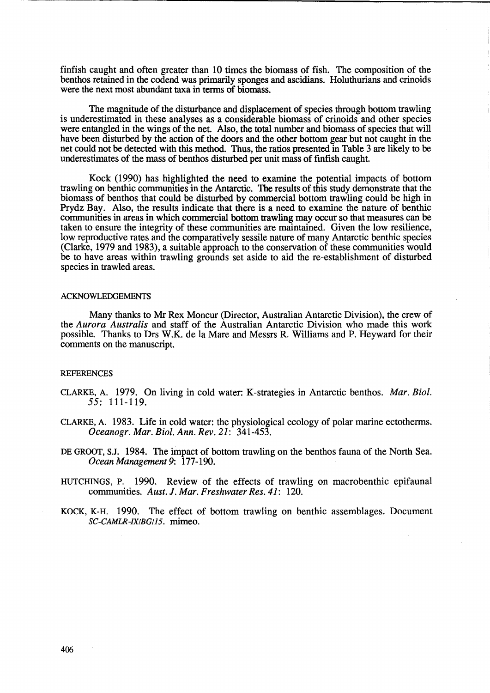finfish caught and often greater than 10 times the biomass of fish. The composition of the benthos retained in the codend was primarily sponges and ascidians. Holuthurians and crinoids were the next most abundant taxa in terms of biomass.

The magnitude of the disturbance and displacement of species through bottom trawling is underestimated in these analyses as a considerable biomass of crinoids and other species were entangled in the wings of the net. Also, the total number and biomass of species that will have been disturbed by the action of the doors and the other bottom gear but not caught in the net could not be detected with this method. Thus, the ratios presented in Table 3 are likely to be underestimates of the mass of benthos disturbed per unit mass of finfish caught.

Kock (1990) has highlighted the need to examine the potential impacts of bottom trawling on benthic communities in the Antarctic. The results of this study demonstrate that the biomass of benthos that could be disturbed by commercial bottom trawling could be high in Prydz Bay. Also, the results indicate that there is a need to examine the nature of benthic communities in areas in which commercial bottom trawling may occur so that measures can be taken to ensure the integrity of these communities are maintained. Given the low resilience, low reproductive rates and the comparatively sessile nature of many Antarctic benthic species (Clarke, 1979 and 1983), a suitable approach to the conservation of these communities would be to have areas within trawling grounds set aside to aid the re-establishment of disturbed species in trawled areas.

#### **ACKNOWLEDGEMENTS**

Many thanks to Mr Rex Moncur (Director, Australian Antarctic Division), the crew of the *Aurora Australis* and staff of the Australian Antarctic Division who made this work possible. Thanks to Drs W.K. de la Mare and Messrs R. Williams and P. Heyward for their comments on the manuscript.

### **REFERENCES**

- CLARKE, A. 1979. On living in cold water: K-strategies in Antarctic benthos. *Mar. Bioi.*  55: 111-119.
- CLARKE, A. 1983. Life in cold water: the physiological ecology of polar marine ectotherms. *Oceanogr. Mar. Bioi. Ann. Rev.* 21: 341-453.
- DE GROOT, SJ. 1984. The impact of bottom trawling on the benthos fauna of the North Sea. *Ocean Management* 9: 177-190.
- HUTCHINGS, P. 1990. Review of the effects of trawling on macrobenthic epifaunal communities. *Aust.* J. *Mar. Freshwater Res.* 41: 120.
- KOCK, K-H. 1990. The effect of bottom trawling on benthic assemblages. Document SC-CAMLR-IX/BG/15. mimeo.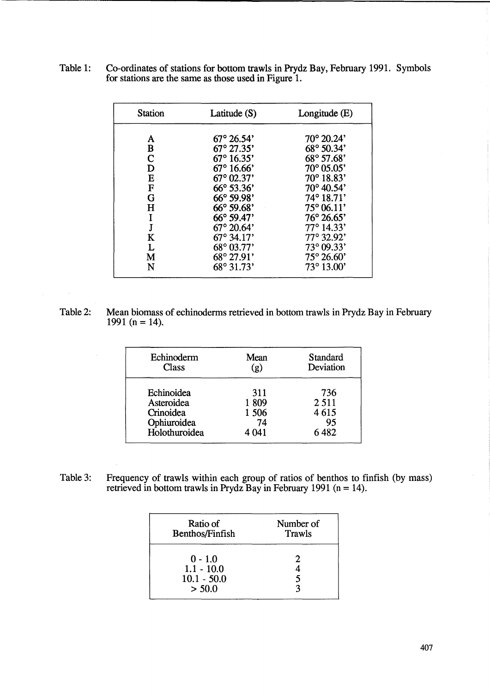| Table 1: Co-ordinates of stations for bottom trawls in Prydz Bay, February 1991. Symbols |
|------------------------------------------------------------------------------------------|
| for stations are the same as those used in Figure 1.                                     |

| <b>Station</b> | Latitude (S)        | Longitude $(E)$            |
|----------------|---------------------|----------------------------|
| A              | $67^{\circ}$ 26.54' | $70^{\circ} 20.24'$        |
| B              | $67^{\circ}$ 27.35' | 68° 50.34'                 |
| C              | $67^{\circ} 16.35'$ | 68° 57.68'                 |
| D              | $67^{\circ} 16.66'$ | 70° 05.05'                 |
| Е              | $67^{\circ}$ 02.37' | $70^{\circ} 18.83'$        |
| $\mathbf F$    | $66^{\circ} 53.36'$ | $70^{\circ}$ 40.54'        |
| G              | $66^{\circ} 59.98'$ | $74^{\circ} 18.71'$        |
| H              | $66^{\circ} 59.68'$ | $75^{\circ} 06.11'$        |
| I              | 66° 59.47'          | $76^{\circ} 26.65^{\circ}$ |
| J              | $67^{\circ}$ 20.64' | $77^{\circ}$ 14.33'        |
| K              | $67^{\circ}$ 34.17' | $77^{\circ}$ 32.92'        |
| L              | $68^{\circ}$ 03.77' | $73^{\circ}$ 09.33'        |
| M              | 68° 27.91'          | $75^{\circ} 26.60'$        |
| N              | $68^{\circ}31.73'$  | $73^{\circ} 13.00'$        |

Table 2: Mean biomass of echinoderms retrieved in bottom trawls in Prydz Bay in February 1991 (n = 14).

| Echinoderm    | Mean    | Standard  |
|---------------|---------|-----------|
| Class         | (g)     | Deviation |
| Echinoidea    | 311     | 736       |
| Asteroidea    | 1809    | 2511      |
| Crinoidea     | 1 506   | 4615      |
| Ophiuroidea   | 74      | 95        |
| Holothuroidea | 4 0 4 1 | 6482      |

Table 3: Frequency of trawls within each group of ratios of benthos to finfish (by mass) retrieved in bottom trawls in Prydz Bay in February 1991 ( $n = 14$ ).

| Ratio of<br>Benthos/Finfish   | Number of<br>Trawls |
|-------------------------------|---------------------|
| $0 - 1.0$                     |                     |
| $1.1 - 10.0$<br>$10.1 - 50.0$ |                     |
| > 50.0                        |                     |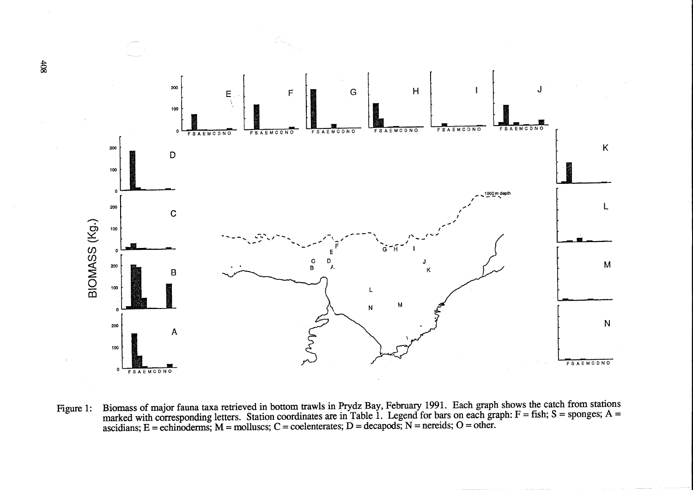

Biomass of major fauna taxa retrieved in bottom trawls in Prydz Bay, February 1991. Each graph shows the catch from stations marked with corresponding letters. Station coordinates are in Table 1. Legend for bars on each g Figure 1:

 $408$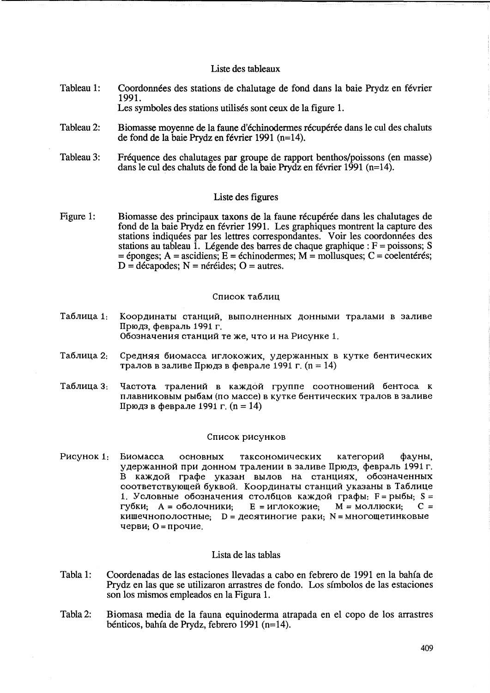### Liste des tableaux

Tableau 1: Coordonnees des stations de chalutage de fond dans la baie Prydz en fevrier 1991.

Les symboles des stations utilisés sont ceux de la figure 1.

- Tableau 2: Biomasse moyenne de la faune d'échinodermes récupérée dans le cul des chaluts de fond de la baie Prydz en fevrier 1991 (n=14).
- Tableau 3: Frequence des chalutages par groupe de rapport benthos/poissons (en masse) dans le cuI des chaluts de fond de la baie Prydz en fevrier 1991 (n=14).

## Liste des figures

Figure 1: Biomasse des principaux taxons de la faune récupérée dans les chalutages de fond de la baie Prydz en fevrier 1991. Les graphiques montrent la capture des stations indiquées par les lettres correspondantes. Voir les coordonnées des stations au tableau  $\overline{1}$ . Légende des barres de chaque graphique :  $F =$  poissons; S  $=$  éponges; A = ascidiens; E = échinodermes; M = mollusques; C = coelentérés;  $D =$  décapodes;  $N =$  néréides;  $O =$  autres.

### Список таблиц

- Таблица 1: Координаты станций, выполненных донными тралами в заливе Прюдз, февраль 1991 г. Обозначения станций те же, что и на Рисунке 1.
- Таблица 2: Средняя биомасса иглокожих, удержанных в кутке бентических тралов в заливе Прюдз в феврале 1991 г. (n = 14)
- Таблица 3: Частота тралений в каждой группе соотношений бентоса к плавниковым рыбам (по массе) в кутке бентических тралов в заливе Прюдз в феврале 1991 г. (n = 14)

#### Список рисунков

Рисунок 1: Биомасса основных таксономических категорий фауны, удержанной при донном тралении в заливе Прюдз, февраль 1991 г. B каждой графе указан вылов на станциях, обозначенных соответствующей буквой. Координаты станций указаны в Таблице 1. Условные обозначения столбцов каждой графы:  $F =$ рыбы; S =  $\Gamma$ Vбки;  $A = 0$ болочники; Е = иглокожие; М = моллюски; С = кишечнополостные;  $D = \text{qecATuHOTWE}$  раки; N = многощетинковые черви;  $0 = \pi$ рочие.

## Lista de las tablas

- Tabla 1: Coordenadas de las estaciones llevadas a cabo en febrero de 1991 en la bahfa de Prydz en las que se utilizaron arrastres de fondo. Los sfmbolos de las estaciones son los mismos empleados en la Figura 1.
- Tabla 2: Biomasa media de la fauna equinoderma atrapada en el copo de los arrastres benticos, bahfa de Prydz, febrero 1991 (n=14).